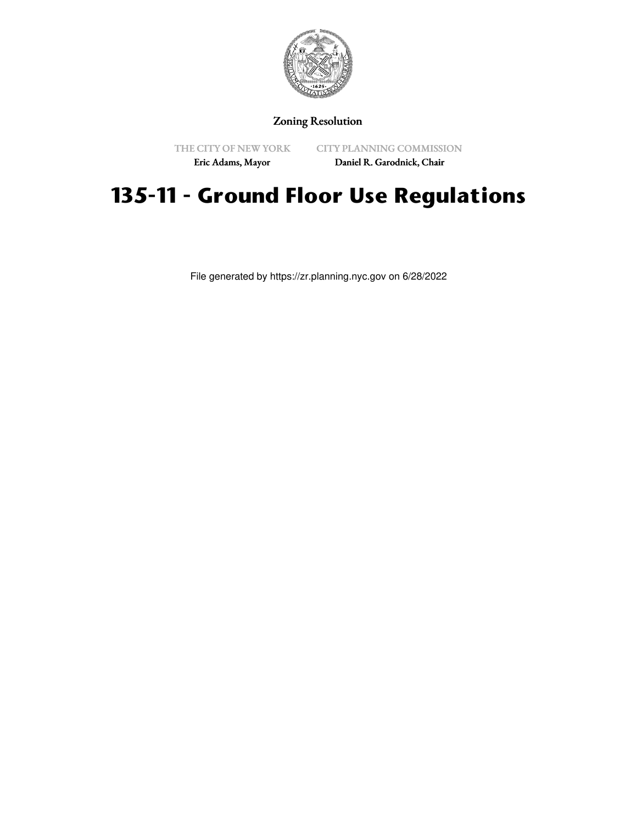

Zoning Resolution

THE CITY OF NEW YORK Eric Adams, Mayor

CITY PLANNING COMMISSION Daniel R. Garodnick, Chair

## **135-11 - Ground Floor Use Regulations**

File generated by https://zr.planning.nyc.gov on 6/28/2022